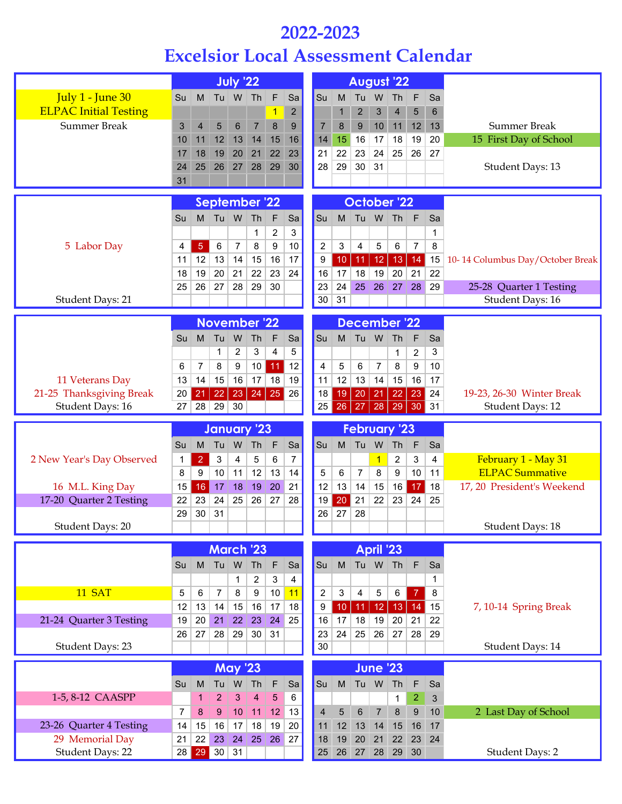## **2022-2023**

## **Excelsior Local Assessment Calendar**

|                                            | <b>July '22</b><br>Tu W Th |                |                          |                    |                |                |                    | <b>August '22</b> |                 |                 |                     |                |                  |                |                                  |
|--------------------------------------------|----------------------------|----------------|--------------------------|--------------------|----------------|----------------|--------------------|-------------------|-----------------|-----------------|---------------------|----------------|------------------|----------------|----------------------------------|
| July 1 - June 30                           | Su                         | M              |                          |                    |                | F              | Sa                 | Su                | M               | Tu              | W                   | Th             | F                | Sa             |                                  |
| <b>ELPAC Initial Testing</b>               |                            |                |                          |                    |                | 1              | 2                  |                   | 1               | $\overline{2}$  | 3                   | $\overline{4}$ | 5                | $6\phantom{1}$ |                                  |
| <b>Summer Break</b>                        | 3                          | $\overline{4}$ | 5                        | $6\phantom{1}6$    | $\overline{7}$ | 8              | 9                  | $\overline{7}$    | 8               | 9               | 10                  | 11             | 12               | 13             | <b>Summer Break</b>              |
|                                            | 10                         | 11             | 12                       | 13                 | 14             | 15             | 16                 | 14                | 15              | 16              | 17                  | 18             | 19               | 20             | 15 First Day of School           |
|                                            | 17                         | 18             | 19                       | 20                 | 21             | 22             | 23                 | 21                | 22              | 23              | 24                  | 25             | 26               | 27             |                                  |
|                                            | 24                         | 25             | 26                       | 27                 | 28             | 29             | 30                 | 28                | 29              | 30              | 31                  |                |                  |                | Student Days: 13                 |
|                                            | 31                         |                |                          |                    |                |                |                    |                   |                 |                 |                     |                |                  |                |                                  |
|                                            | <b>September '22</b>       |                |                          |                    |                |                | <b>October '22</b> |                   |                 |                 |                     |                |                  |                |                                  |
|                                            | Su                         | M              |                          | Tu W Th            |                | F              | Sa                 | Su                |                 |                 | M Tu W Th           |                | l F              | Sa             |                                  |
|                                            |                            |                |                          |                    | 1              | $\overline{2}$ | 3                  |                   |                 |                 |                     |                |                  | 1              |                                  |
| 5 Labor Day                                | 4                          | $\overline{5}$ | 6                        | $\overline{7}$     | 8              | 9              | 10                 | $\overline{2}$    | 3               | 4               | 5                   | 6              | $\overline{7}$   | 8              |                                  |
|                                            | 11                         | 12             | 13                       | 14                 | 15             | 16             | 17                 | 9                 | 10 <sup>1</sup> | 11              | 12                  | 13             | 14               | 15             | 10-14 Columbus Day/October Break |
|                                            | 18                         | 19             | 20                       | 21                 | 22             | 23             | 24                 | 16                | 17              | 18              | 19                  | 20             | 21               | 22             |                                  |
|                                            | 25                         | 26             | 27                       | 28                 | 29             | 30             |                    | 23                | 24              | 25              | 26                  | 27             | 28               | 29             | 25-28 Quarter 1 Testing          |
| Student Days: 21                           |                            |                |                          |                    |                |                |                    | 30                | 31              |                 |                     |                |                  |                | <b>Student Days: 16</b>          |
|                                            |                            |                | November <sup>'</sup> 22 |                    |                |                |                    |                   |                 |                 | <b>December '22</b> |                |                  |                |                                  |
|                                            | Su                         | M              | Tu                       | W                  | Th             | F              | Sa                 | Su                |                 | M Tu W          |                     | Th             | F                | Sa             |                                  |
|                                            |                            |                | 1                        | 2                  | 3              | 4              | 5                  |                   |                 |                 |                     | 1              | $\sqrt{2}$       | 3              |                                  |
|                                            | 6                          | $\overline{7}$ | 8                        | 9                  | 10             | 11             | 12                 | 4                 | 5               | 6               | $\overline{7}$      | 8              | 9                | 10             |                                  |
| 11 Veterans Day                            | 13                         | 14             | 15                       | 16                 | 17             | 18             | 19                 | 11                | 12              | 13              | 14                  | 15             | 16               | 17             |                                  |
| 21-25 Thanksgiving Break                   | 20                         | 21             | 22                       |                    | 23   24        | 25             | 26                 | 18                | 19              | 20              | 21                  | 22             | 23               | 24             | 19-23, 26-30 Winter Break        |
| Student Days: 16                           | 27                         | 28             | 29 30                    |                    |                |                |                    | 25                | 26              | $\overline{27}$ | 28                  | 29 30          |                  | $\vert$ 31     | <b>Student Days: 12</b>          |
|                                            |                            |                |                          |                    |                |                |                    |                   |                 |                 |                     |                |                  |                |                                  |
|                                            |                            |                | <b>January '23</b>       |                    |                |                |                    |                   |                 |                 | <b>February '23</b> |                |                  |                |                                  |
|                                            | Su                         | M              | Tu                       | W                  | Th             | F              | Sa                 | Su                |                 | M Tu W          |                     | $\vert$ Th     | $\mathsf{F}$     | Sa             |                                  |
| 2 New Year's Day Observed                  | 1                          | $\overline{2}$ | 3                        | 4                  | 5              | 6              | $\overline{7}$     |                   |                 |                 | $\overline{1}$      | 2              | 3                | 4              | February 1 - May 31              |
|                                            | 8                          | 9              | 10                       | 11                 | 12             | 13             | 14                 | 5                 | 6               | $\overline{7}$  | 8                   | 9              | 10               | 11             | <b>ELPAC Summative</b>           |
| 16 M.L. King Day                           | 15                         | 16             | 17                       | 18                 | 19             | 20             | 21                 | 12                | 13              | 14              | 15                  | 16             | 17               | 18             | 17, 20 President's Weekend       |
| 17-20 Quarter 2 Testing                    | 22                         | 23             | 24                       | 25                 | 26             | 27             | 28                 | 19                | 20              | 21              | 22                  | 23             | 24               | 25             |                                  |
|                                            | 29                         | 30             | 31                       |                    |                |                |                    | 26                | 27              | 28              |                     |                |                  |                |                                  |
| Student Days: 20                           |                            |                |                          |                    |                |                |                    |                   |                 |                 |                     |                |                  |                | Student Days: 18                 |
|                                            |                            |                | <b>March '23</b>         |                    |                |                |                    |                   |                 |                 | April '23           |                |                  |                |                                  |
|                                            | Su                         | M              |                          | Tu W               | Th             | $\mathsf F$    | Sa                 | Su                | M               |                 | Tu W Th             |                | $\mathsf F$      | Sa             |                                  |
|                                            |                            |                |                          | $\mathbf{1}$       | $\overline{c}$ | 3              | 4                  |                   |                 |                 |                     |                |                  | $\mathbf{1}$   |                                  |
| 11 SAT                                     | 5                          | 6              | $\overline{7}$           | 8                  | 9              | 10             | 11                 | $\overline{2}$    | 3               | $\overline{4}$  | 5                   | 6              | $\overline{7}$   | 8              |                                  |
|                                            | 12                         | 13             | 14                       | 15                 | 16             | 17             | 18                 | 9                 | 10              | 11 <sub>1</sub> | 12                  | 13             | 14               | 15             | 7, 10-14 Spring Break            |
| 21-24 Quarter 3 Testing                    | 19                         | 20             | 21                       | 22                 | 23             | 24             | 25                 | 16                | 17              | 18              | 19                  | 20             | 21               | 22             |                                  |
|                                            | 26                         | 27             | 28                       | 29                 | $30\,$         | 31             |                    | 23                | 24              | 25              | 26                  | 27             | 28               | 29             |                                  |
| Student Days: 23                           |                            |                |                          |                    |                |                |                    | 30                |                 |                 |                     |                |                  |                | Student Days: 14                 |
|                                            |                            |                |                          | <b>May '23</b>     |                |                |                    |                   |                 |                 | <b>June '23</b>     |                |                  |                |                                  |
|                                            | Su                         | M              | Tu                       | ${\sf W}$          | Th             | F              | Sa                 | Su                | M               | $Tu$ W          |                     | Th             | F                | Sa             |                                  |
| 1-5, 8-12 CAASPP                           |                            | 1              | $\overline{a}$           | 3                  | 4              | 5              | $\,6\,$            |                   |                 |                 |                     | $\mathbf{1}$   | 2                | 3              |                                  |
|                                            | $\overline{7}$             | 8              | $9\,$                    | 10                 | $\vert$ 11     | 12             | 13                 | $\overline{4}$    | 5               | $\,6$           | $\overline{7}$      | $\bf 8$        | $\boldsymbol{9}$ | 10             | 2 Last Day of School             |
| 23-26 Quarter 4 Testing                    | 14                         | 15             | 16                       | 17                 | 18             | 19             | 20                 | 11                | 12              | 13              | 14                  | 15             | 16               | 17             |                                  |
| 29 Memorial Day<br><b>Student Days: 22</b> | 21<br>28                   | 22<br>29       | 23                       | 24<br>$30 \mid 31$ | 25             | 26             | 27                 | 18<br>25          | 19<br>26        | 20<br>27        | 21                  | 22<br>28 29    | 23<br>30         | 24             | Student Days: 2                  |